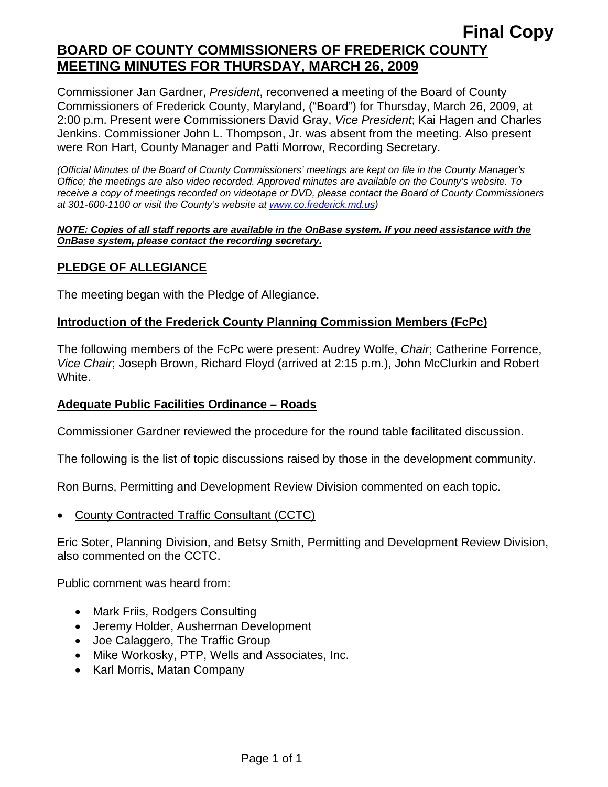## **Final Copy BOARD OF COUNTY COMMISSIONERS OF FREDERICK COUNTY MEETING MINUTES FOR THURSDAY, MARCH 26, 2009**

Commissioner Jan Gardner, *President*, reconvened a meeting of the Board of County Commissioners of Frederick County, Maryland, ("Board") for Thursday, March 26, 2009, at 2:00 p.m. Present were Commissioners David Gray, *Vice President*; Kai Hagen and Charles Jenkins. Commissioner John L. Thompson, Jr. was absent from the meeting. Also present were Ron Hart, County Manager and Patti Morrow, Recording Secretary.

*(Official Minutes of the Board of County Commissioners' meetings are kept on file in the County Manager's Office; the meetings are also video recorded. Approved minutes are available on the County's website. To receive a copy of meetings recorded on videotape or DVD, please contact the Board of County Commissioners at 301-600-1100 or visit the County's website at [www.co.frederick.md.us\)](http://www.co.frederick.md.us/)* 

#### *NOTE: Copies of all staff reports are available in the OnBase system. If you need assistance with the OnBase system, please contact the recording secretary.*

### **PLEDGE OF ALLEGIANCE**

The meeting began with the Pledge of Allegiance.

#### **Introduction of the Frederick County Planning Commission Members (FcPc)**

The following members of the FcPc were present: Audrey Wolfe, *Chair*; Catherine Forrence, *Vice Chair*; Joseph Brown, Richard Floyd (arrived at 2:15 p.m.), John McClurkin and Robert White.

#### **Adequate Public Facilities Ordinance – Roads**

Commissioner Gardner reviewed the procedure for the round table facilitated discussion.

The following is the list of topic discussions raised by those in the development community.

Ron Burns, Permitting and Development Review Division commented on each topic.

• County Contracted Traffic Consultant (CCTC)

Eric Soter, Planning Division, and Betsy Smith, Permitting and Development Review Division, also commented on the CCTC.

Public comment was heard from:

- Mark Friis, Rodgers Consulting
- Jeremy Holder, Ausherman Development
- Joe Calaggero, The Traffic Group
- Mike Workosky, PTP, Wells and Associates, Inc.
- Karl Morris, Matan Company